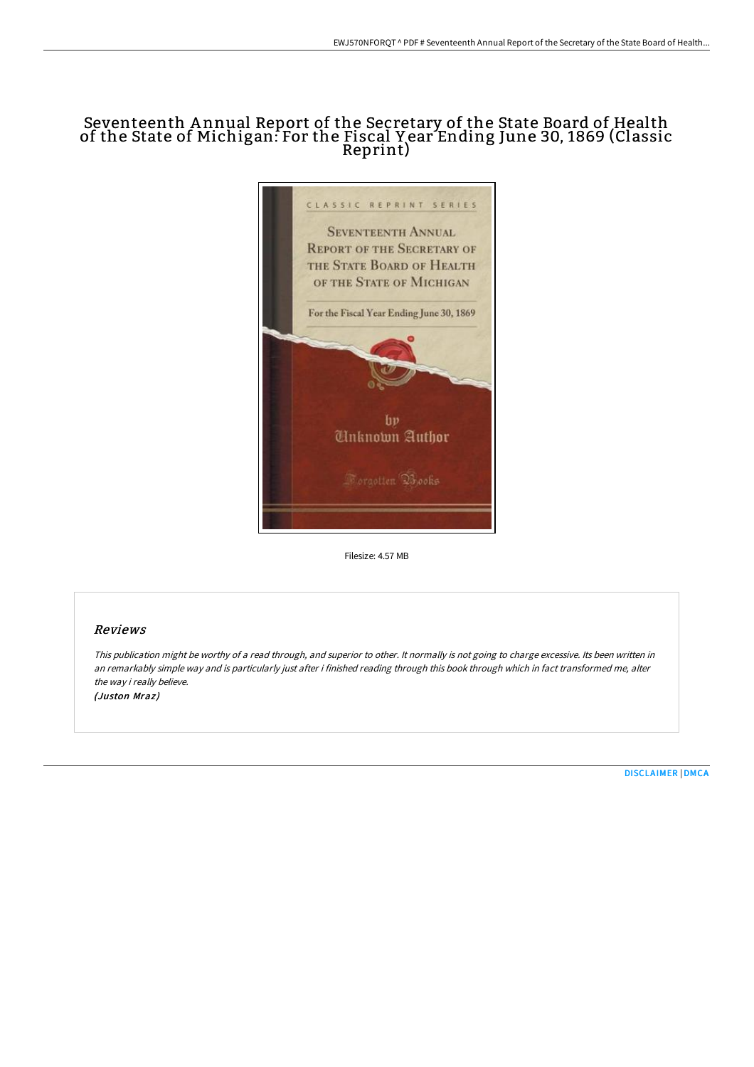## Seventeenth A nnual Report of the Secretary of the State Board of Health of the State of Michigan: For the Fiscal Y ear Ending June 30, 1869 (Classic Reprint)



Filesize: 4.57 MB

## Reviews

This publication might be worthy of <sup>a</sup> read through, and superior to other. It normally is not going to charge excessive. Its been written in an remarkably simple way and is particularly just after i finished reading through this book through which in fact transformed me, alter the way i really believe. (Juston Mraz)

[DISCLAIMER](http://www.bookdirs.com/disclaimer.html) | [DMCA](http://www.bookdirs.com/dmca.html)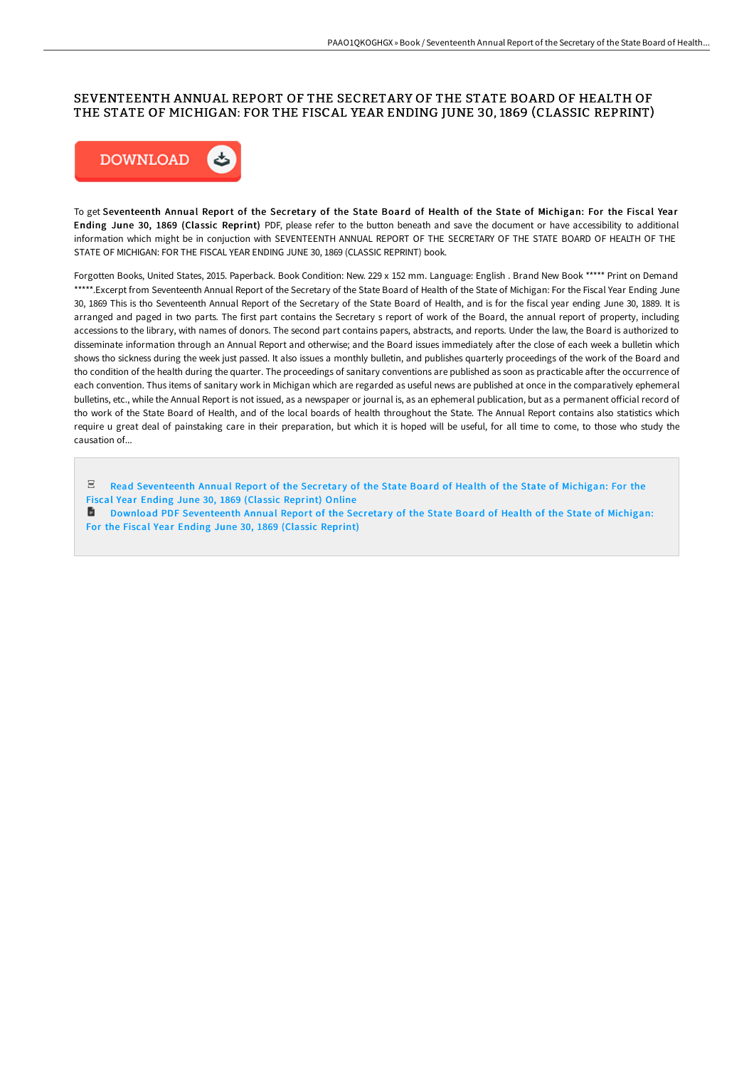## SEVENTEENTH ANNUAL REPORT OF THE SECRETARY OF THE STATE BOARD OF HEALTH OF THE STATE OF MICHIGAN: FOR THE FISCAL YEAR ENDING JUNE 30, 1869 (CLASSIC REPRINT)



To get Seventeenth Annual Report of the Secretary of the State Board of Health of the State of Michigan: For the Fiscal Year Ending June 30, 1869 (Classic Reprint) PDF, please refer to the button beneath and save the document or have accessibility to additional information which might be in conjuction with SEVENTEENTH ANNUAL REPORT OF THE SECRETARY OF THE STATE BOARD OF HEALTH OF THE STATE OF MICHIGAN: FOR THE FISCAL YEAR ENDING JUNE 30, 1869 (CLASSIC REPRINT) book.

Forgotten Books, United States, 2015. Paperback. Book Condition: New. 229 x 152 mm. Language: English . Brand New Book \*\*\*\*\* Print on Demand \*\*\*\*\*.Excerpt from Seventeenth Annual Report of the Secretary of the State Board of Health of the State of Michigan: For the Fiscal Year Ending June 30, 1869 This is tho Seventeenth Annual Report of the Secretary of the State Board of Health, and is for the fiscal year ending June 30, 1889. It is arranged and paged in two parts. The first part contains the Secretary s report of work of the Board, the annual report of property, including accessions to the library, with names of donors. The second part contains papers, abstracts, and reports. Under the law, the Board is authorized to disseminate information through an Annual Report and otherwise; and the Board issues immediately after the close of each week a bulletin which shows tho sickness during the week just passed. It also issues a monthly bulletin, and publishes quarterly proceedings of the work of the Board and tho condition of the health during the quarter. The proceedings of sanitary conventions are published as soon as practicable after the occurrence of each convention. Thus items of sanitary work in Michigan which are regarded as useful news are published at once in the comparatively ephemeral bulletins, etc., while the Annual Report is not issued, as a newspaper or journal is, as an ephemeral publication, but as a permanent official record of tho work of the State Board of Health, and of the local boards of health throughout the State. The Annual Report contains also statistics which require u great deal of painstaking care in their preparation, but which it is hoped will be useful, for all time to come, to those who study the causation of...

Read [Seventeenth](http://www.bookdirs.com/seventeenth-annual-report-of-the-secretary-of-th.html) Annual Report of the Secretary of the State Board of Health of the State of Michigan: For the Fiscal Year Ending June 30, 1869 (Classic Reprint) Online **Download PDF [Seventeenth](http://www.bookdirs.com/seventeenth-annual-report-of-the-secretary-of-th.html) Annual Report of the Secretary of the State Board of Health of the State of Michigan:** For the Fiscal Year Ending June 30, 1869 (Classic Reprint)